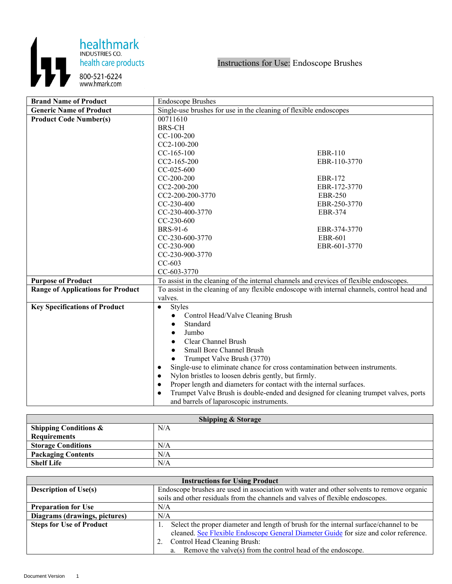

| <b>Brand Name of Product</b>             | <b>Endoscope Brushes</b>                                                                         |                |
|------------------------------------------|--------------------------------------------------------------------------------------------------|----------------|
| <b>Generic Name of Product</b>           | Single-use brushes for use in the cleaning of flexible endoscopes                                |                |
| <b>Product Code Number(s)</b>            | 00711610                                                                                         |                |
|                                          | <b>BRS-CH</b>                                                                                    |                |
|                                          | $CC-100-200$                                                                                     |                |
|                                          | $CC2-100-200$                                                                                    |                |
|                                          | $CC-165-100$                                                                                     | <b>EBR-110</b> |
|                                          | $CC2-165-200$                                                                                    | EBR-110-3770   |
|                                          | CC-025-600                                                                                       |                |
|                                          | $CC-200-200$                                                                                     | <b>EBR-172</b> |
|                                          | CC2-200-200                                                                                      | EBR-172-3770   |
|                                          | CC2-200-200-3770                                                                                 | <b>EBR-250</b> |
|                                          | $CC-230-400$                                                                                     | EBR-250-3770   |
|                                          | CC-230-400-3770                                                                                  | EBR-374        |
|                                          | $CC-230-600$                                                                                     |                |
|                                          | <b>BRS-91-6</b>                                                                                  | EBR-374-3770   |
|                                          | CC-230-600-3770                                                                                  | <b>EBR-601</b> |
|                                          | CC-230-900                                                                                       | EBR-601-3770   |
|                                          | CC-230-900-3770                                                                                  |                |
|                                          | $CC-603$                                                                                         |                |
|                                          | CC-603-3770                                                                                      |                |
| <b>Purpose of Product</b>                | To assist in the cleaning of the internal channels and crevices of flexible endoscopes.          |                |
| <b>Range of Applications for Product</b> | To assist in the cleaning of any flexible endoscope with internal channels, control head and     |                |
|                                          | valves.                                                                                          |                |
| <b>Key Specifications of Product</b>     | <b>Styles</b><br>$\bullet$                                                                       |                |
|                                          | Control Head/Valve Cleaning Brush<br>$\bullet$                                                   |                |
|                                          | Standard                                                                                         |                |
|                                          | Jumbo                                                                                            |                |
|                                          | Clear Channel Brush                                                                              |                |
|                                          | <b>Small Bore Channel Brush</b>                                                                  |                |
|                                          | Trumpet Valve Brush (3770)                                                                       |                |
|                                          | Single-use to eliminate chance for cross contamination between instruments.                      |                |
|                                          | Nylon bristles to loosen debris gently, but firmly.<br>$\bullet$                                 |                |
|                                          | Proper length and diameters for contact with the internal surfaces.<br>$\bullet$                 |                |
|                                          | Trumpet Valve Brush is double-ended and designed for cleaning trumpet valves, ports<br>$\bullet$ |                |
|                                          | and barrels of laparoscopic instruments.                                                         |                |

| <b>Shipping &amp; Storage</b>    |     |  |
|----------------------------------|-----|--|
| <b>Shipping Conditions &amp;</b> | N/A |  |
| <b>Requirements</b>              |     |  |
| <b>Storage Conditions</b>        | N/A |  |
| <b>Packaging Contents</b>        | N/A |  |
| <b>Shelf Life</b>                | N/A |  |

| <b>Instructions for Using Product</b> |                                                                                           |  |
|---------------------------------------|-------------------------------------------------------------------------------------------|--|
| <b>Description of Use(s)</b>          | Endoscope brushes are used in association with water and other solvents to remove organic |  |
|                                       | soils and other residuals from the channels and valves of flexible endoscopes.            |  |
| <b>Preparation for Use</b>            | N/A                                                                                       |  |
| Diagrams (drawings, pictures)         | N/A                                                                                       |  |
| <b>Steps for Use of Product</b>       | Select the proper diameter and length of brush for the internal surface/channel to be     |  |
|                                       | cleaned. See Flexible Endoscope General Diameter Guide for size and color reference.      |  |
|                                       | 2. Control Head Cleaning Brush:                                                           |  |
|                                       | a. Remove the valve(s) from the control head of the endoscope.                            |  |